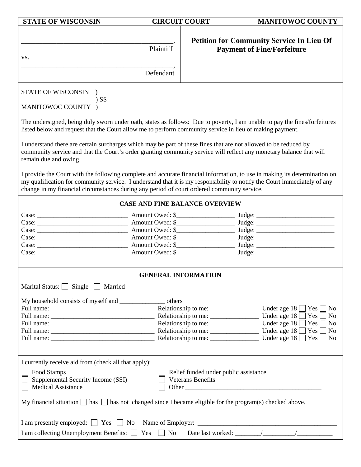| <b>STATE OF WISCONSIN</b>                                                                                                                                                                                                                                                                                                                           |           | <b>CIRCUIT COURT</b><br><b>MANITOWOC COUNTY</b>                                                                                                                                                                                         |  |  |  |  |  |
|-----------------------------------------------------------------------------------------------------------------------------------------------------------------------------------------------------------------------------------------------------------------------------------------------------------------------------------------------------|-----------|-----------------------------------------------------------------------------------------------------------------------------------------------------------------------------------------------------------------------------------------|--|--|--|--|--|
|                                                                                                                                                                                                                                                                                                                                                     | Plaintiff | <b>Petition for Community Service In Lieu Of</b><br><b>Payment of Fine/Forfeiture</b>                                                                                                                                                   |  |  |  |  |  |
| VS.                                                                                                                                                                                                                                                                                                                                                 |           |                                                                                                                                                                                                                                         |  |  |  |  |  |
|                                                                                                                                                                                                                                                                                                                                                     | Defendant |                                                                                                                                                                                                                                         |  |  |  |  |  |
| <b>STATE OF WISCONSIN</b><br>$)$ SS<br>MANITOWOC COUNTY )                                                                                                                                                                                                                                                                                           |           |                                                                                                                                                                                                                                         |  |  |  |  |  |
| listed below and request that the Court allow me to perform community service in lieu of making payment.                                                                                                                                                                                                                                            |           | The undersigned, being duly sworn under oath, states as follows: Due to poverty, I am unable to pay the fines/forfeitures                                                                                                               |  |  |  |  |  |
| remain due and owing.                                                                                                                                                                                                                                                                                                                               |           | I understand there are certain surcharges which may be part of these fines that are not allowed to be reduced by<br>community service and that the Court's order granting community service will reflect any monetary balance that will |  |  |  |  |  |
| I provide the Court with the following complete and accurate financial information, to use in making its determination on<br>my qualification for community service. I understand that it is my responsibility to notify the Court immediately of any<br>change in my financial circumstances during any period of court ordered community service. |           |                                                                                                                                                                                                                                         |  |  |  |  |  |
| <b>CASE AND FINE BALANCE OVERVIEW</b>                                                                                                                                                                                                                                                                                                               |           |                                                                                                                                                                                                                                         |  |  |  |  |  |
|                                                                                                                                                                                                                                                                                                                                                     |           |                                                                                                                                                                                                                                         |  |  |  |  |  |
|                                                                                                                                                                                                                                                                                                                                                     |           |                                                                                                                                                                                                                                         |  |  |  |  |  |
|                                                                                                                                                                                                                                                                                                                                                     |           |                                                                                                                                                                                                                                         |  |  |  |  |  |
|                                                                                                                                                                                                                                                                                                                                                     |           |                                                                                                                                                                                                                                         |  |  |  |  |  |
|                                                                                                                                                                                                                                                                                                                                                     |           |                                                                                                                                                                                                                                         |  |  |  |  |  |
| <b>GENERAL INFORMATION</b>                                                                                                                                                                                                                                                                                                                          |           |                                                                                                                                                                                                                                         |  |  |  |  |  |
| Marital Status: Single Married                                                                                                                                                                                                                                                                                                                      |           |                                                                                                                                                                                                                                         |  |  |  |  |  |
|                                                                                                                                                                                                                                                                                                                                                     |           |                                                                                                                                                                                                                                         |  |  |  |  |  |
|                                                                                                                                                                                                                                                                                                                                                     |           | N <sub>0</sub>                                                                                                                                                                                                                          |  |  |  |  |  |
|                                                                                                                                                                                                                                                                                                                                                     |           | Yes<br>N <sub>0</sub>                                                                                                                                                                                                                   |  |  |  |  |  |
|                                                                                                                                                                                                                                                                                                                                                     |           | $Yes \Box$<br>N <sub>o</sub>                                                                                                                                                                                                            |  |  |  |  |  |
|                                                                                                                                                                                                                                                                                                                                                     |           | $Yes \vert$<br>N <sub>0</sub>                                                                                                                                                                                                           |  |  |  |  |  |
|                                                                                                                                                                                                                                                                                                                                                     |           | <b>No</b>                                                                                                                                                                                                                               |  |  |  |  |  |
| I currently receive aid from (check all that apply):                                                                                                                                                                                                                                                                                                |           |                                                                                                                                                                                                                                         |  |  |  |  |  |
| Food Stamps<br>Relief funded under public assistance<br>Supplemental Security Income (SSI)<br><b>Veterans Benefits</b><br><b>Medical Assistance</b>                                                                                                                                                                                                 |           |                                                                                                                                                                                                                                         |  |  |  |  |  |
| My financial situation $\Box$ has $\Box$ has not changed since I became eligible for the program(s) checked above.                                                                                                                                                                                                                                  |           |                                                                                                                                                                                                                                         |  |  |  |  |  |
| I am presently employed: Yes No Name of Employer: _______________________________                                                                                                                                                                                                                                                                   |           |                                                                                                                                                                                                                                         |  |  |  |  |  |
|                                                                                                                                                                                                                                                                                                                                                     |           |                                                                                                                                                                                                                                         |  |  |  |  |  |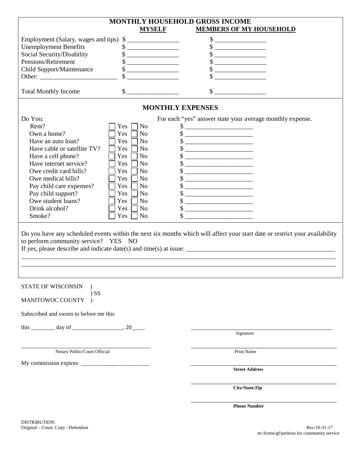|                                                                                                                                                                                                                                                                                                      |            |                                                                                                                                                                                                                                                                                                                     | MONTHLY HOUSEHOLD GROSS INCOME                                                                                       |                                                           |  |  |  |  |
|------------------------------------------------------------------------------------------------------------------------------------------------------------------------------------------------------------------------------------------------------------------------------------------------------|------------|---------------------------------------------------------------------------------------------------------------------------------------------------------------------------------------------------------------------------------------------------------------------------------------------------------------------|----------------------------------------------------------------------------------------------------------------------|-----------------------------------------------------------|--|--|--|--|
|                                                                                                                                                                                                                                                                                                      |            | <b>MYSELF</b>                                                                                                                                                                                                                                                                                                       |                                                                                                                      | <b>MEMBERS OF MY HOUSEHOLD</b>                            |  |  |  |  |
| Employment (Salary, wages and tips) \$                                                                                                                                                                                                                                                               |            |                                                                                                                                                                                                                                                                                                                     |                                                                                                                      | $\sim$                                                    |  |  |  |  |
| <b>Unemployment Benefits</b>                                                                                                                                                                                                                                                                         |            | <u> 1999 - John Harry Harry Harry Harry Harry Harry Harry Harry Harry Harry Harry Harry Harry Harry Harry Harry H</u>                                                                                                                                                                                               |                                                                                                                      | $\frac{\text{S}}{\text{S}}$                               |  |  |  |  |
| Social Security/Disability                                                                                                                                                                                                                                                                           |            | $\qquad \qquad \text{\normalsize $s$} \underline{\qquad \qquad }$                                                                                                                                                                                                                                                   | $\frac{\text{S}}{\text{S}}$                                                                                          |                                                           |  |  |  |  |
| Pensions/Retirement                                                                                                                                                                                                                                                                                  |            | <u> 1989 - Jan Stein Stein, fransk politiker (d. 1989)</u>                                                                                                                                                                                                                                                          | $\frac{1}{2}$                                                                                                        |                                                           |  |  |  |  |
| Child Support/Maintenance                                                                                                                                                                                                                                                                            |            |                                                                                                                                                                                                                                                                                                                     |                                                                                                                      | $\sim$                                                    |  |  |  |  |
|                                                                                                                                                                                                                                                                                                      |            | $\qquad \qquad \bullet$                                                                                                                                                                                                                                                                                             |                                                                                                                      | $\sim$                                                    |  |  |  |  |
| <b>Total Monthly Income</b>                                                                                                                                                                                                                                                                          |            | $\frac{1}{2}$ $\frac{1}{2}$ $\frac{1}{2}$ $\frac{1}{2}$ $\frac{1}{2}$ $\frac{1}{2}$ $\frac{1}{2}$ $\frac{1}{2}$ $\frac{1}{2}$ $\frac{1}{2}$ $\frac{1}{2}$ $\frac{1}{2}$ $\frac{1}{2}$ $\frac{1}{2}$ $\frac{1}{2}$ $\frac{1}{2}$ $\frac{1}{2}$ $\frac{1}{2}$ $\frac{1}{2}$ $\frac{1}{2}$ $\frac{1}{2}$ $\frac{1}{2}$ |                                                                                                                      | $\frac{\text{S}}{\text{S}}$                               |  |  |  |  |
| <b>MONTHLY EXPENSES</b>                                                                                                                                                                                                                                                                              |            |                                                                                                                                                                                                                                                                                                                     |                                                                                                                      |                                                           |  |  |  |  |
| Do You:                                                                                                                                                                                                                                                                                              |            |                                                                                                                                                                                                                                                                                                                     |                                                                                                                      | For each "yes" answer state your average monthly expense. |  |  |  |  |
| Rent?                                                                                                                                                                                                                                                                                                | <b>Yes</b> | N <sub>o</sub>                                                                                                                                                                                                                                                                                                      |                                                                                                                      |                                                           |  |  |  |  |
| Own a home?                                                                                                                                                                                                                                                                                          | Yes        | N <sub>0</sub>                                                                                                                                                                                                                                                                                                      | <u> La Carlo Carlo Carlo Carlo Carlo Carlo Carlo Carlo Carlo Carlo Carlo Carlo Carlo Carlo Carlo Carlo Carlo Car</u> |                                                           |  |  |  |  |
| Have an auto loan?                                                                                                                                                                                                                                                                                   | Yes        | N <sub>o</sub>                                                                                                                                                                                                                                                                                                      |                                                                                                                      |                                                           |  |  |  |  |
| Have cable or satellite TV?                                                                                                                                                                                                                                                                          | Yes        | N <sub>o</sub>                                                                                                                                                                                                                                                                                                      |                                                                                                                      |                                                           |  |  |  |  |
| Have a cell phone?                                                                                                                                                                                                                                                                                   | Yes        | N <sub>o</sub>                                                                                                                                                                                                                                                                                                      | $\sim$                                                                                                               |                                                           |  |  |  |  |
| Have internet service?                                                                                                                                                                                                                                                                               | Yes        | N <sub>o</sub>                                                                                                                                                                                                                                                                                                      |                                                                                                                      |                                                           |  |  |  |  |
| Owe credit card bills?                                                                                                                                                                                                                                                                               | Yes        | N <sub>o</sub>                                                                                                                                                                                                                                                                                                      |                                                                                                                      |                                                           |  |  |  |  |
| Owe medical bills?                                                                                                                                                                                                                                                                                   | Yes        | N <sub>o</sub>                                                                                                                                                                                                                                                                                                      |                                                                                                                      |                                                           |  |  |  |  |
| Pay child care expenses?                                                                                                                                                                                                                                                                             | Yes        | N <sub>o</sub>                                                                                                                                                                                                                                                                                                      |                                                                                                                      |                                                           |  |  |  |  |
| Pay child support?<br>Owe student loans?                                                                                                                                                                                                                                                             | Yes        | N <sub>o</sub>                                                                                                                                                                                                                                                                                                      |                                                                                                                      |                                                           |  |  |  |  |
| Drink alcohol?                                                                                                                                                                                                                                                                                       | Yes<br>Yes | N <sub>0</sub><br>N <sub>o</sub>                                                                                                                                                                                                                                                                                    |                                                                                                                      |                                                           |  |  |  |  |
| Smoke?                                                                                                                                                                                                                                                                                               | Yes        | N <sub>o</sub>                                                                                                                                                                                                                                                                                                      |                                                                                                                      |                                                           |  |  |  |  |
|                                                                                                                                                                                                                                                                                                      |            |                                                                                                                                                                                                                                                                                                                     |                                                                                                                      |                                                           |  |  |  |  |
| Do you have any scheduled events within the next six months which will affect your start date or restrict your availability<br>to perform community service? YES NO<br>If yes, please describe and indicate date(s) and time(s) at issue: $\frac{1}{\sqrt{1-\frac{1}{n}}}\left  \frac{1}{n} \right $ |            |                                                                                                                                                                                                                                                                                                                     |                                                                                                                      |                                                           |  |  |  |  |
| <b>STATE OF WISCONSIN</b><br>$)$ SS<br><b>MANITOWOC COUNTY</b>                                                                                                                                                                                                                                       |            |                                                                                                                                                                                                                                                                                                                     |                                                                                                                      |                                                           |  |  |  |  |
|                                                                                                                                                                                                                                                                                                      |            |                                                                                                                                                                                                                                                                                                                     |                                                                                                                      |                                                           |  |  |  |  |
| Subscribed and sworn to before me this                                                                                                                                                                                                                                                               |            |                                                                                                                                                                                                                                                                                                                     |                                                                                                                      |                                                           |  |  |  |  |
|                                                                                                                                                                                                                                                                                                      |            |                                                                                                                                                                                                                                                                                                                     |                                                                                                                      | Signature                                                 |  |  |  |  |
| Notary Public/Court Official                                                                                                                                                                                                                                                                         |            |                                                                                                                                                                                                                                                                                                                     |                                                                                                                      | Print Name                                                |  |  |  |  |
|                                                                                                                                                                                                                                                                                                      |            |                                                                                                                                                                                                                                                                                                                     |                                                                                                                      |                                                           |  |  |  |  |
|                                                                                                                                                                                                                                                                                                      |            |                                                                                                                                                                                                                                                                                                                     |                                                                                                                      | <b>Street Address</b>                                     |  |  |  |  |
|                                                                                                                                                                                                                                                                                                      |            |                                                                                                                                                                                                                                                                                                                     |                                                                                                                      | City/State/Zip                                            |  |  |  |  |

**Phone Number**

\_\_\_\_\_\_\_\_\_\_\_\_\_\_\_\_\_\_\_\_\_\_\_\_\_\_\_\_\_\_\_\_\_\_\_\_\_\_\_\_\_\_\_\_\_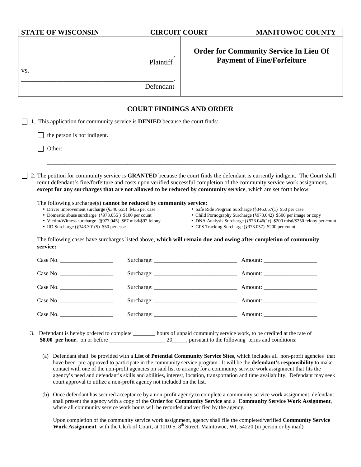| <b>STATE OF WISCONSIN</b>                                                                                                                                                                                                                                                                                                                                                                                                |           | <b>CIRCUIT COURT</b>            | <b>MANITOWOC COUNTY</b>                                                                                                                                                                                                                                         |
|--------------------------------------------------------------------------------------------------------------------------------------------------------------------------------------------------------------------------------------------------------------------------------------------------------------------------------------------------------------------------------------------------------------------------|-----------|---------------------------------|-----------------------------------------------------------------------------------------------------------------------------------------------------------------------------------------------------------------------------------------------------------------|
| VS.                                                                                                                                                                                                                                                                                                                                                                                                                      | Plaintiff |                                 | <b>Order for Community Service In Lieu Of</b><br><b>Payment of Fine/Forfeiture</b>                                                                                                                                                                              |
|                                                                                                                                                                                                                                                                                                                                                                                                                          | Defendant |                                 |                                                                                                                                                                                                                                                                 |
|                                                                                                                                                                                                                                                                                                                                                                                                                          |           | <b>COURT FINDINGS AND ORDER</b> |                                                                                                                                                                                                                                                                 |
| 1. This application for community service is <b>DENIED</b> because the court finds:                                                                                                                                                                                                                                                                                                                                      |           |                                 |                                                                                                                                                                                                                                                                 |
| the person is not indigent.                                                                                                                                                                                                                                                                                                                                                                                              |           |                                 |                                                                                                                                                                                                                                                                 |
|                                                                                                                                                                                                                                                                                                                                                                                                                          |           |                                 |                                                                                                                                                                                                                                                                 |
|                                                                                                                                                                                                                                                                                                                                                                                                                          |           |                                 |                                                                                                                                                                                                                                                                 |
| except for any surcharges that are not allowed to be reduced by community service, which are set forth below.<br>The following surcharge(s) cannot be reduced by community service:<br>• Driver improvement surcharge (§346.655) \$435 per case<br>• Domestic abuse surcharge (§973.055) \$100 per count<br>• Victim/Witness surcharge (§973.045) \$67 misd/\$92 felony<br>• IID Surcharge $(\$343.301(5)$ \$50 per case |           |                                 | • Safe Ride Program Surcharge (§346.657(1) \$50 per case<br>• Child Pornography Surcharge (§973.042) \$500 per image or copy<br>• DNA Analysis Surcharge (§973.046(1r) \$200 misd/\$250 felony per count<br>• GPS Tracking Surcharge (§973.057) \$200 per count |
| The following cases have surcharges listed above, which will remain due and owing after completion of community<br>service:                                                                                                                                                                                                                                                                                              |           |                                 |                                                                                                                                                                                                                                                                 |
|                                                                                                                                                                                                                                                                                                                                                                                                                          |           |                                 |                                                                                                                                                                                                                                                                 |
| Case No.                                                                                                                                                                                                                                                                                                                                                                                                                 |           |                                 |                                                                                                                                                                                                                                                                 |
|                                                                                                                                                                                                                                                                                                                                                                                                                          |           |                                 |                                                                                                                                                                                                                                                                 |
| Case No.                                                                                                                                                                                                                                                                                                                                                                                                                 |           |                                 |                                                                                                                                                                                                                                                                 |
| Case No.                                                                                                                                                                                                                                                                                                                                                                                                                 |           |                                 |                                                                                                                                                                                                                                                                 |
| 3. Defendant is hereby ordered to complete ______ hours of unpaid community service work, to be credited at the rate of                                                                                                                                                                                                                                                                                                  |           |                                 |                                                                                                                                                                                                                                                                 |

- (a) Defendant shall be provided with a **List of Potential Community Service Sites**, which includes all non-profit agencies that have been pre-approved to participate in the community service program. It will be the **defendant's responsibility** to make contact with one of the non-profit agencies on said list to arrange for a community service work assignment that fits the agency's need and defendant's skills and abilities, interest, location, transportation and time availability. Defendant may seek court approval to utilize a non-profit agency not included on the list.
- (b) Once defendant has secured acceptance by a non-profit agency to complete a community service work assignment, defendant shall present the agency with a copy of the **Order for Community Service** and a **Community Service Work Assignment**, where all community service work hours will be recorded and verified by the agency.

Upon completion of the community service work assignment, agency shall file the completed/verified **Community Service** Work Assignment with the Clerk of Court, at 1010 S. 8<sup>th</sup> Street, Manitowoc, WI, 54220 (in person or by mail).